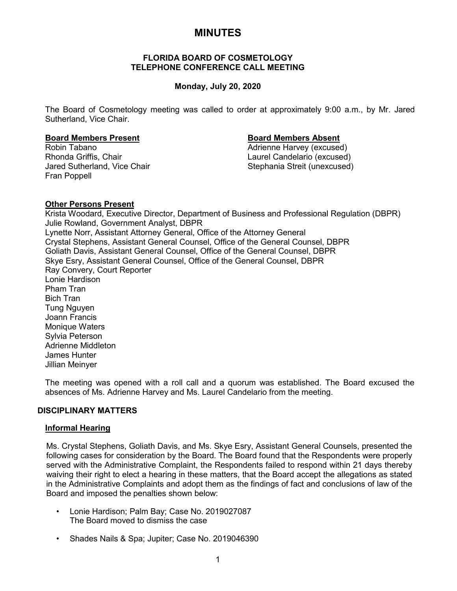# **MINUTES**

# **FLORIDA BOARD OF COSMETOLOGY TELEPHONE CONFERENCE CALL MEETING**

# **Monday, July 20, 2020**

The Board of Cosmetology meeting was called to order at approximately 9:00 a.m., by Mr. Jared Sutherland, Vice Chair.

### **Board Members Present Board Members Absent**

Jared Sutherland, Vice Chair Stephania Streit (unexcused) Fran Poppell

Robin Tabano Adrienne Harvey (excused) Laurel Candelario (excused)

# **Other Persons Present**

Krista Woodard, Executive Director, Department of Business and Professional Regulation (DBPR) Julie Rowland, Government Analyst, DBPR Lynette Norr, Assistant Attorney General, Office of the Attorney General Crystal Stephens, Assistant General Counsel, Office of the General Counsel, DBPR Goliath Davis, Assistant General Counsel, Office of the General Counsel, DBPR Skye Esry, Assistant General Counsel, Office of the General Counsel, DBPR Ray Convery, Court Reporter Lonie Hardison Pham Tran Bich Tran Tung Nguyen Joann Francis Monique Waters Sylvia Peterson Adrienne Middleton James Hunter Jillian Meinyer

The meeting was opened with a roll call and a quorum was established. The Board excused the absences of Ms. Adrienne Harvey and Ms. Laurel Candelario from the meeting.

# **DISCIPLINARY MATTERS**

# **Informal Hearing**

Ms. Crystal Stephens, Goliath Davis, and Ms. Skye Esry, Assistant General Counsels, presented the following cases for consideration by the Board. The Board found that the Respondents were properly served with the Administrative Complaint, the Respondents failed to respond within 21 days thereby waiving their right to elect a hearing in these matters, that the Board accept the allegations as stated in the Administrative Complaints and adopt them as the findings of fact and conclusions of law of the Board and imposed the penalties shown below:

- Lonie Hardison; Palm Bay; Case No. 2019027087 The Board moved to dismiss the case
- Shades Nails & Spa; Jupiter; Case No. 2019046390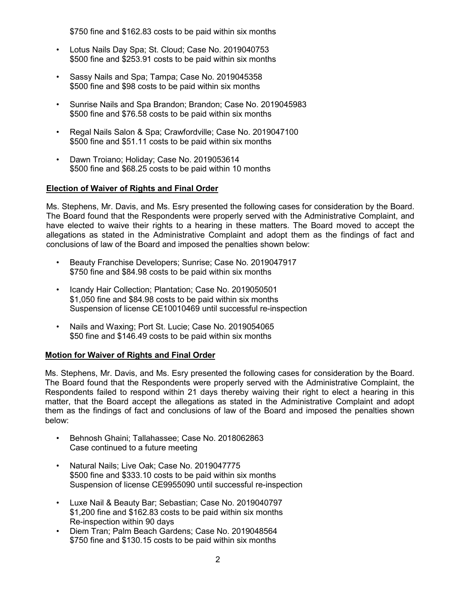\$750 fine and \$162.83 costs to be paid within six months

- Lotus Nails Day Spa; St. Cloud; Case No. 2019040753 \$500 fine and \$253.91 costs to be paid within six months
- Sassy Nails and Spa; Tampa; Case No. 2019045358 \$500 fine and \$98 costs to be paid within six months
- Sunrise Nails and Spa Brandon; Brandon; Case No. 2019045983 \$500 fine and \$76.58 costs to be paid within six months
- Regal Nails Salon & Spa; Crawfordville; Case No. 2019047100 \$500 fine and \$51.11 costs to be paid within six months
- Dawn Troiano; Holiday; Case No. 2019053614 \$500 fine and \$68.25 costs to be paid within 10 months

# **Election of Waiver of Rights and Final Order**

Ms. Stephens, Mr. Davis, and Ms. Esry presented the following cases for consideration by the Board. The Board found that the Respondents were properly served with the Administrative Complaint, and have elected to waive their rights to a hearing in these matters. The Board moved to accept the allegations as stated in the Administrative Complaint and adopt them as the findings of fact and conclusions of law of the Board and imposed the penalties shown below:

- Beauty Franchise Developers; Sunrise; Case No. 2019047917 \$750 fine and \$84.98 costs to be paid within six months
- Icandy Hair Collection; Plantation; Case No. 2019050501 \$1,050 fine and \$84.98 costs to be paid within six months Suspension of license CE10010469 until successful re-inspection
- Nails and Waxing; Port St. Lucie; Case No. 2019054065 \$50 fine and \$146.49 costs to be paid within six months

# **Motion for Waiver of Rights and Final Order**

Ms. Stephens, Mr. Davis, and Ms. Esry presented the following cases for consideration by the Board. The Board found that the Respondents were properly served with the Administrative Complaint, the Respondents failed to respond within 21 days thereby waiving their right to elect a hearing in this matter, that the Board accept the allegations as stated in the Administrative Complaint and adopt them as the findings of fact and conclusions of law of the Board and imposed the penalties shown below:

- Behnosh Ghaini; Tallahassee; Case No. 2018062863 Case continued to a future meeting
- Natural Nails; Live Oak; Case No. 2019047775 \$500 fine and \$333.10 costs to be paid within six months Suspension of license CE9955090 until successful re-inspection
- Luxe Nail & Beauty Bar; Sebastian; Case No. 2019040797 \$1,200 fine and \$162.83 costs to be paid within six months Re-inspection within 90 days
- Diem Tran; Palm Beach Gardens; Case No. 2019048564 \$750 fine and \$130.15 costs to be paid within six months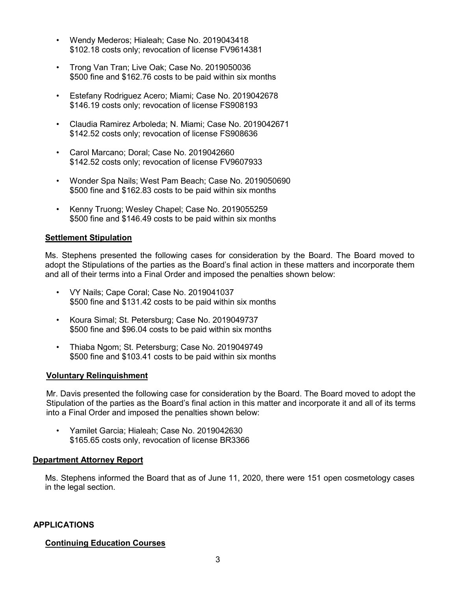- Wendy Mederos; Hialeah; Case No. 2019043418 \$102.18 costs only; revocation of license FV9614381
- Trong Van Tran; Live Oak; Case No. 2019050036 \$500 fine and \$162.76 costs to be paid within six months
- Estefany Rodriguez Acero; Miami; Case No. 2019042678 \$146.19 costs only; revocation of license FS908193
- Claudia Ramirez Arboleda; N. Miami; Case No. 2019042671 \$142.52 costs only; revocation of license FS908636
- Carol Marcano; Doral; Case No. 2019042660 \$142.52 costs only; revocation of license FV9607933
- Wonder Spa Nails; West Pam Beach; Case No. 2019050690 \$500 fine and \$162.83 costs to be paid within six months
- Kenny Truong; Wesley Chapel; Case No. 2019055259 \$500 fine and \$146.49 costs to be paid within six months

# **Settlement Stipulation**

Ms. Stephens presented the following cases for consideration by the Board. The Board moved to adopt the Stipulations of the parties as the Board's final action in these matters and incorporate them and all of their terms into a Final Order and imposed the penalties shown below:

- VY Nails; Cape Coral; Case No. 2019041037 \$500 fine and \$131.42 costs to be paid within six months
- Koura Simal; St. Petersburg; Case No. 2019049737 \$500 fine and \$96.04 costs to be paid within six months
- Thiaba Ngom; St. Petersburg; Case No. 2019049749 \$500 fine and \$103.41 costs to be paid within six months

# **Voluntary Relinquishment**

Mr. Davis presented the following case for consideration by the Board. The Board moved to adopt the Stipulation of the parties as the Board's final action in this matter and incorporate it and all of its terms into a Final Order and imposed the penalties shown below:

• Yamilet Garcia; Hialeah; Case No. 2019042630 \$165.65 costs only, revocation of license BR3366

# **Department Attorney Report**

Ms. Stephens informed the Board that as of June 11, 2020, there were 151 open cosmetology cases in the legal section.

# **APPLICATIONS**

# **Continuing Education Courses**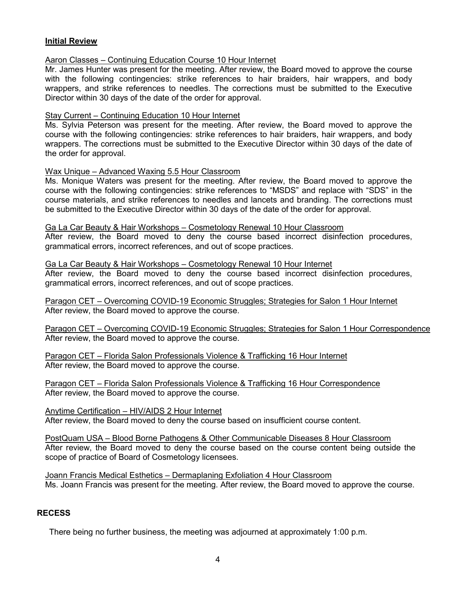# **Initial Review**

# Aaron Classes – Continuing Education Course 10 Hour Internet

Mr. James Hunter was present for the meeting. After review, the Board moved to approve the course with the following contingencies: strike references to hair braiders, hair wrappers, and body wrappers, and strike references to needles. The corrections must be submitted to the Executive Director within 30 days of the date of the order for approval.

### Stay Current – Continuing Education 10 Hour Internet

Ms. Sylvia Peterson was present for the meeting. After review, the Board moved to approve the course with the following contingencies: strike references to hair braiders, hair wrappers, and body wrappers. The corrections must be submitted to the Executive Director within 30 days of the date of the order for approval.

### Wax Unique – Advanced Waxing 5.5 Hour Classroom

Ms. Monique Waters was present for the meeting. After review, the Board moved to approve the course with the following contingencies: strike references to "MSDS" and replace with "SDS" in the course materials, and strike references to needles and lancets and branding. The corrections must be submitted to the Executive Director within 30 days of the date of the order for approval.

# Ga La Car Beauty & Hair Workshops – Cosmetology Renewal 10 Hour Classroom

After review, the Board moved to deny the course based incorrect disinfection procedures, grammatical errors, incorrect references, and out of scope practices.

### Ga La Car Beauty & Hair Workshops – Cosmetology Renewal 10 Hour Internet

After review, the Board moved to deny the course based incorrect disinfection procedures, grammatical errors, incorrect references, and out of scope practices.

Paragon CET – Overcoming COVID-19 Economic Struggles; Strategies for Salon 1 Hour Internet After review, the Board moved to approve the course.

Paragon CET – Overcoming COVID-19 Economic Struggles; Strategies for Salon 1 Hour Correspondence After review, the Board moved to approve the course.

Paragon CET – Florida Salon Professionals Violence & Trafficking 16 Hour Internet After review, the Board moved to approve the course.

Paragon CET – Florida Salon Professionals Violence & Trafficking 16 Hour Correspondence After review, the Board moved to approve the course.

Anytime Certification – HIV/AIDS 2 Hour Internet After review, the Board moved to deny the course based on insufficient course content.

PostQuam USA – Blood Borne Pathogens & Other Communicable Diseases 8 Hour Classroom After review, the Board moved to deny the course based on the course content being outside the scope of practice of Board of Cosmetology licensees.

Joann Francis Medical Esthetics – Dermaplaning Exfoliation 4 Hour Classroom Ms. Joann Francis was present for the meeting. After review, the Board moved to approve the course.

# **RECESS**

There being no further business, the meeting was adjourned at approximately 1:00 p.m.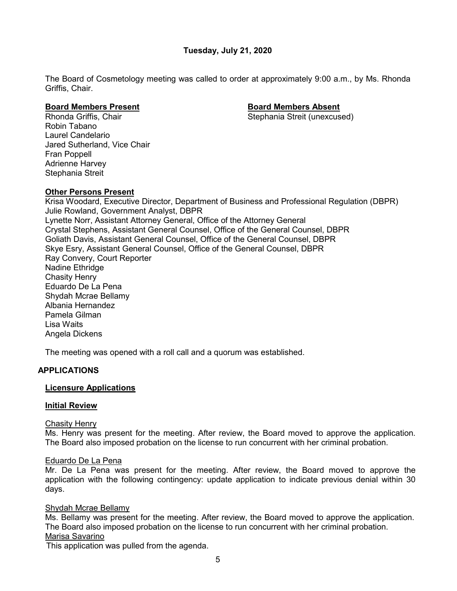# **Tuesday, July 21, 2020**

The Board of Cosmetology meeting was called to order at approximately 9:00 a.m., by Ms. Rhonda Griffis, Chair.

Stephania Streit (unexcused)

**Board Members Present Board Members Absent** Robin Tabano Laurel Candelario Jared Sutherland, Vice Chair Fran Poppell Adrienne Harvey Stephania Streit

# **Other Persons Present**

Krisa Woodard, Executive Director, Department of Business and Professional Regulation (DBPR) Julie Rowland, Government Analyst, DBPR Lynette Norr, Assistant Attorney General, Office of the Attorney General Crystal Stephens, Assistant General Counsel, Office of the General Counsel, DBPR Goliath Davis, Assistant General Counsel, Office of the General Counsel, DBPR Skye Esry, Assistant General Counsel, Office of the General Counsel, DBPR Ray Convery, Court Reporter Nadine Ethridge Chasity Henry Eduardo De La Pena Shydah Mcrae Bellamy Albania Hernandez Pamela Gilman Lisa Waits Angela Dickens

The meeting was opened with a roll call and a quorum was established.

# **APPLICATIONS**

# **Licensure Applications**

# **Initial Review**

# Chasity Henry

Ms. Henry was present for the meeting. After review, the Board moved to approve the application. The Board also imposed probation on the license to run concurrent with her criminal probation.

# Eduardo De La Pena

Mr. De La Pena was present for the meeting. After review, the Board moved to approve the application with the following contingency: update application to indicate previous denial within 30 days.

# Shydah Mcrae Bellamy

Ms. Bellamy was present for the meeting. After review, the Board moved to approve the application. The Board also imposed probation on the license to run concurrent with her criminal probation. Marisa Savarino

This application was pulled from the agenda.